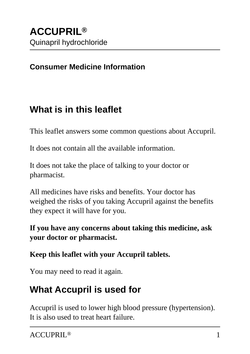### **Consumer Medicine Information**

# **What is in this leaflet**

This leaflet answers some common questions about Accupril.

It does not contain all the available information.

It does not take the place of talking to your doctor or pharmacist.

All medicines have risks and benefits. Your doctor has weighed the risks of you taking Accupril against the benefits they expect it will have for you.

**If you have any concerns about taking this medicine, ask your doctor or pharmacist.**

**Keep this leaflet with your Accupril tablets.**

You may need to read it again.

# **What Accupril is used for**

Accupril is used to lower high blood pressure (hypertension). It is also used to treat heart failure.

ACCUPRIL® 1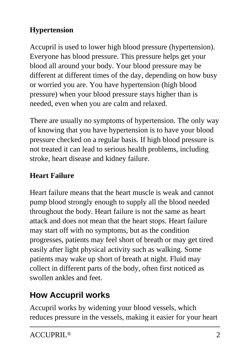### **Hypertension**

Accupril is used to lower high blood pressure (hypertension). Everyone has blood pressure. This pressure helps get your blood all around your body. Your blood pressure may be different at different times of the day, depending on how busy or worried you are. You have hypertension (high blood pressure) when your blood pressure stays higher than is needed, even when you are calm and relaxed.

There are usually no symptoms of hypertension. The only way of knowing that you have hypertension is to have your blood pressure checked on a regular basis. If high blood pressure is not treated it can lead to serious health problems, including stroke, heart disease and kidney failure.

### **Heart Failure**

Heart failure means that the heart muscle is weak and cannot pump blood strongly enough to supply all the blood needed throughout the body. Heart failure is not the same as heart attack and does not mean that the heart stops. Heart failure may start off with no symptoms, but as the condition progresses, patients may feel short of breath or may get tired easily after light physical activity such as walking. Some patients may wake up short of breath at night. Fluid may collect in different parts of the body, often first noticed as swollen ankles and feet.

# **How Accupril works**

Accupril works by widening your blood vessels, which reduces pressure in the vessels, making it easier for your heart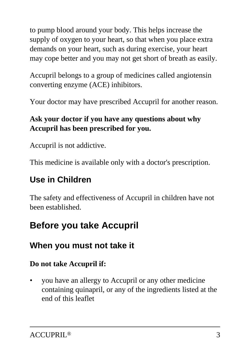to pump blood around your body. This helps increase the supply of oxygen to your heart, so that when you place extra demands on your heart, such as during exercise, your heart may cope better and you may not get short of breath as easily.

Accupril belongs to a group of medicines called angiotensin converting enzyme (ACE) inhibitors.

Your doctor may have prescribed Accupril for another reason.

### **Ask your doctor if you have any questions about why Accupril has been prescribed for you.**

Accupril is not addictive.

This medicine is available only with a doctor's prescription.

# **Use in Children**

The safety and effectiveness of Accupril in children have not been established.

# **Before you take Accupril**

# **When you must not take it**

### **Do not take Accupril if:**

• you have an allergy to Accupril or any other medicine containing quinapril, or any of the ingredients listed at the end of this leaflet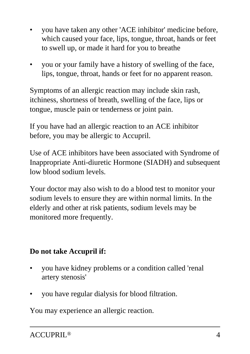- you have taken any other 'ACE inhibitor' medicine before, which caused your face, lips, tongue, throat, hands or feet to swell up, or made it hard for you to breathe
- you or your family have a history of swelling of the face, lips, tongue, throat, hands or feet for no apparent reason.

Symptoms of an allergic reaction may include skin rash, itchiness, shortness of breath, swelling of the face, lips or tongue, muscle pain or tenderness or joint pain.

If you have had an allergic reaction to an ACE inhibitor before, you may be allergic to Accupril.

Use of ACE inhibitors have been associated with Syndrome of Inappropriate Anti-diuretic Hormone (SIADH) and subsequent low blood sodium levels.

Your doctor may also wish to do a blood test to monitor your sodium levels to ensure they are within normal limits. In the elderly and other at risk patients, sodium levels may be monitored more frequently.

#### **Do not take Accupril if:**

- you have kidney problems or a condition called 'renal artery stenosis'
- you have regular dialysis for blood filtration.

You may experience an allergic reaction.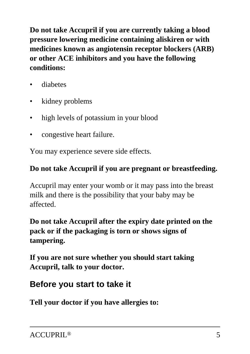**Do not take Accupril if you are currently taking a blood pressure lowering medicine containing aliskiren or with medicines known as angiotensin receptor blockers (ARB) or other ACE inhibitors and you have the following conditions:**

- diabetes
- kidney problems
- high levels of potassium in your blood
- congestive heart failure.

You may experience severe side effects.

#### **Do not take Accupril if you are pregnant or breastfeeding.**

Accupril may enter your womb or it may pass into the breast milk and there is the possibility that your baby may be affected.

### **Do not take Accupril after the expiry date printed on the pack or if the packaging is torn or shows signs of tampering.**

**If you are not sure whether you should start taking Accupril, talk to your doctor.**

### **Before you start to take it**

**Tell your doctor if you have allergies to:**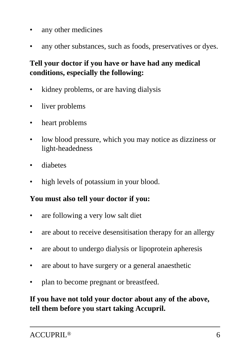- any other medicines
- any other substances, such as foods, preservatives or dyes.

### **Tell your doctor if you have or have had any medical conditions, especially the following:**

- kidney problems, or are having dialysis
- liver problems
- heart problems
- low blood pressure, which you may notice as dizziness or light-headedness
- diabetes
- high levels of potassium in your blood.

#### **You must also tell your doctor if you:**

- are following a very low salt diet
- are about to receive desensitisation therapy for an allergy
- are about to undergo dialysis or lipoprotein apheresis
- are about to have surgery or a general anaesthetic
- plan to become pregnant or breastfeed.

#### **If you have not told your doctor about any of the above, tell them before you start taking Accupril.**

#### ACCUPRIL® 6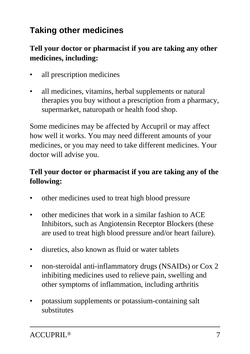# **Taking other medicines**

#### **Tell your doctor or pharmacist if you are taking any other medicines, including:**

- all prescription medicines
- all medicines, vitamins, herbal supplements or natural therapies you buy without a prescription from a pharmacy, supermarket, naturopath or health food shop.

Some medicines may be affected by Accupril or may affect how well it works. You may need different amounts of your medicines, or you may need to take different medicines. Your doctor will advise you.

#### **Tell your doctor or pharmacist if you are taking any of the following:**

- other medicines used to treat high blood pressure
- other medicines that work in a similar fashion to ACE Inhibitors, such as Angiotensin Receptor Blockers (these are used to treat high blood pressure and/or heart failure).
- diuretics, also known as fluid or water tablets
- non-steroidal anti-inflammatory drugs (NSAIDs) or Cox 2 inhibiting medicines used to relieve pain, swelling and other symptoms of inflammation, including arthritis
- potassium supplements or potassium-containing salt substitutes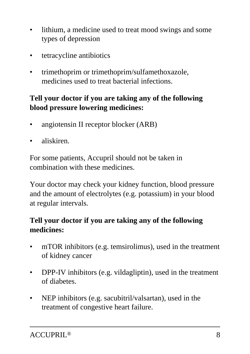- lithium, a medicine used to treat mood swings and some types of depression
- tetracycline antibiotics
- trimethoprim or trimethoprim/sulfamethoxazole, medicines used to treat bacterial infections.

#### **Tell your doctor if you are taking any of the following blood pressure lowering medicines:**

- angiotensin II receptor blocker (ARB)
- aliskiren.

For some patients, Accupril should not be taken in combination with these medicines.

Your doctor may check your kidney function, blood pressure and the amount of electrolytes (e.g. potassium) in your blood at regular intervals.

#### **Tell your doctor if you are taking any of the following medicines:**

- mTOR inhibitors (e.g. temsirolimus), used in the treatment of kidney cancer
- DPP-IV inhibitors (e.g. vildagliptin), used in the treatment of diabetes.
- NEP inhibitors (e.g. sacubitril/valsartan), used in the treatment of congestive heart failure.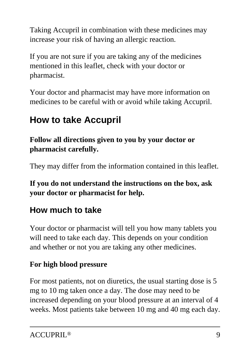Taking Accupril in combination with these medicines may increase your risk of having an allergic reaction.

If you are not sure if you are taking any of the medicines mentioned in this leaflet, check with your doctor or pharmacist.

Your doctor and pharmacist may have more information on medicines to be careful with or avoid while taking Accupril.

# **How to take Accupril**

**Follow all directions given to you by your doctor or pharmacist carefully.**

They may differ from the information contained in this leaflet.

**If you do not understand the instructions on the box, ask your doctor or pharmacist for help.**

# **How much to take**

Your doctor or pharmacist will tell you how many tablets you will need to take each day. This depends on your condition and whether or not you are taking any other medicines.

### **For high blood pressure**

For most patients, not on diuretics, the usual starting dose is 5 mg to 10 mg taken once a day. The dose may need to be increased depending on your blood pressure at an interval of 4 weeks. Most patients take between 10 mg and 40 mg each day.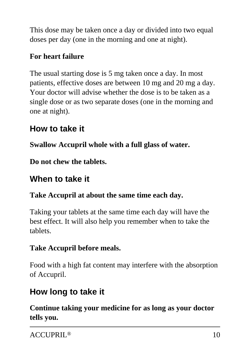This dose may be taken once a day or divided into two equal doses per day (one in the morning and one at night).

### **For heart failure**

The usual starting dose is 5 mg taken once a day. In most patients, effective doses are between 10 mg and 20 mg a day. Your doctor will advise whether the dose is to be taken as a single dose or as two separate doses (one in the morning and one at night).

### **How to take it**

**Swallow Accupril whole with a full glass of water.**

**Do not chew the tablets.**

## **When to take it**

### **Take Accupril at about the same time each day.**

Taking your tablets at the same time each day will have the best effect. It will also help you remember when to take the tablets.

### **Take Accupril before meals.**

Food with a high fat content may interfere with the absorption of Accupril.

# **How long to take it**

**Continue taking your medicine for as long as your doctor tells you.**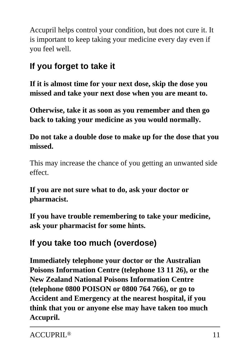Accupril helps control your condition, but does not cure it. It is important to keep taking your medicine every day even if you feel well.

### **If you forget to take it**

**If it is almost time for your next dose, skip the dose you missed and take your next dose when you are meant to.**

**Otherwise, take it as soon as you remember and then go back to taking your medicine as you would normally.**

#### **Do not take a double dose to make up for the dose that you missed.**

This may increase the chance of you getting an unwanted side effect.

**If you are not sure what to do, ask your doctor or pharmacist.**

**If you have trouble remembering to take your medicine, ask your pharmacist for some hints.**

### **If you take too much (overdose)**

**Immediately telephone your doctor or the Australian Poisons Information Centre (telephone 13 11 26), or the New Zealand National Poisons Information Centre (telephone 0800 POISON or 0800 764 766), or go to Accident and Emergency at the nearest hospital, if you think that you or anyone else may have taken too much Accupril.**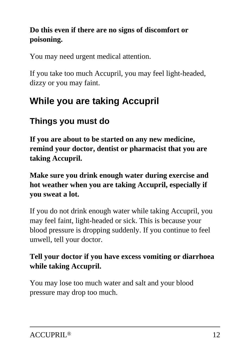### **Do this even if there are no signs of discomfort or poisoning.**

You may need urgent medical attention.

If you take too much Accupril, you may feel light-headed, dizzy or you may faint.

# **While you are taking Accupril**

# **Things you must do**

**If you are about to be started on any new medicine, remind your doctor, dentist or pharmacist that you are taking Accupril.**

**Make sure you drink enough water during exercise and hot weather when you are taking Accupril, especially if you sweat a lot.**

If you do not drink enough water while taking Accupril, you may feel faint, light-headed or sick. This is because your blood pressure is dropping suddenly. If you continue to feel unwell, tell your doctor.

#### **Tell your doctor if you have excess vomiting or diarrhoea while taking Accupril.**

You may lose too much water and salt and your blood pressure may drop too much.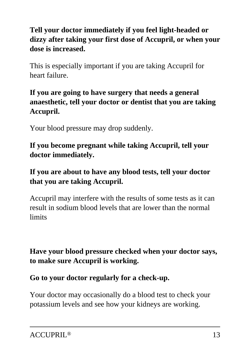### **Tell your doctor immediately if you feel light-headed or dizzy after taking your first dose of Accupril, or when your dose is increased.**

This is especially important if you are taking Accupril for heart failure.

#### **If you are going to have surgery that needs a general anaesthetic, tell your doctor or dentist that you are taking Accupril.**

Your blood pressure may drop suddenly.

**If you become pregnant while taking Accupril, tell your doctor immediately.**

#### **If you are about to have any blood tests, tell your doctor that you are taking Accupril.**

Accupril may interfere with the results of some tests as it can result in sodium blood levels that are lower than the normal limits

#### **Have your blood pressure checked when your doctor says, to make sure Accupril is working.**

**Go to your doctor regularly for a check-up.**

Your doctor may occasionally do a blood test to check your potassium levels and see how your kidneys are working.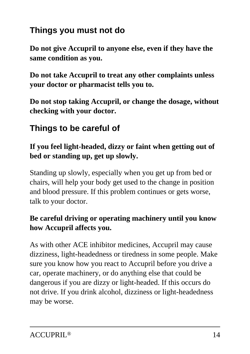# **Things you must not do**

**Do not give Accupril to anyone else, even if they have the same condition as you.**

**Do not take Accupril to treat any other complaints unless your doctor or pharmacist tells you to.**

**Do not stop taking Accupril, or change the dosage, without checking with your doctor.**

### **Things to be careful of**

#### **If you feel light-headed, dizzy or faint when getting out of bed or standing up, get up slowly.**

Standing up slowly, especially when you get up from bed or chairs, will help your body get used to the change in position and blood pressure. If this problem continues or gets worse, talk to your doctor.

#### **Be careful driving or operating machinery until you know how Accupril affects you.**

As with other ACE inhibitor medicines, Accupril may cause dizziness, light-headedness or tiredness in some people. Make sure you know how you react to Accupril before you drive a car, operate machinery, or do anything else that could be dangerous if you are dizzy or light-headed. If this occurs do not drive. If you drink alcohol, dizziness or light-headedness may be worse.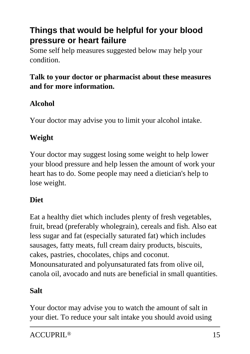### **Things that would be helpful for your blood pressure or heart failure**

Some self help measures suggested below may help your condition.

### **Talk to your doctor or pharmacist about these measures and for more information.**

### **Alcohol**

Your doctor may advise you to limit your alcohol intake.

### **Weight**

Your doctor may suggest losing some weight to help lower your blood pressure and help lessen the amount of work your heart has to do. Some people may need a dietician's help to lose weight.

#### **Diet**

Eat a healthy diet which includes plenty of fresh vegetables, fruit, bread (preferably wholegrain), cereals and fish. Also eat less sugar and fat (especially saturated fat) which includes sausages, fatty meats, full cream dairy products, biscuits, cakes, pastries, chocolates, chips and coconut. Monounsaturated and polyunsaturated fats from olive oil, canola oil, avocado and nuts are beneficial in small quantities.

#### **Salt**

Your doctor may advise you to watch the amount of salt in your diet. To reduce your salt intake you should avoid using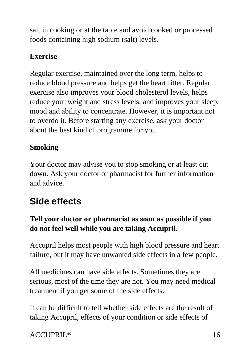salt in cooking or at the table and avoid cooked or processed foods containing high sodium (salt) levels.

### **Exercise**

Regular exercise, maintained over the long term, helps to reduce blood pressure and helps get the heart fitter. Regular exercise also improves your blood cholesterol levels, helps reduce your weight and stress levels, and improves your sleep, mood and ability to concentrate. However, it is important not to overdo it. Before starting any exercise, ask your doctor about the best kind of programme for you.

### **Smoking**

Your doctor may advise you to stop smoking or at least cut down. Ask your doctor or pharmacist for further information and advice.

# **Side effects**

### **Tell your doctor or pharmacist as soon as possible if you do not feel well while you are taking Accupril.**

Accupril helps most people with high blood pressure and heart failure, but it may have unwanted side effects in a few people.

All medicines can have side effects. Sometimes they are serious, most of the time they are not. You may need medical treatment if you get some of the side effects.

It can be difficult to tell whether side effects are the result of taking Accupril, effects of your condition or side effects of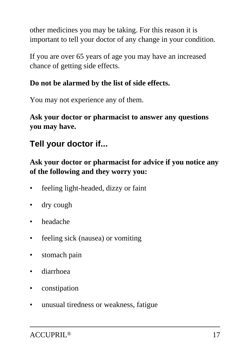other medicines you may be taking. For this reason it is important to tell your doctor of any change in your condition.

If you are over 65 years of age you may have an increased chance of getting side effects.

### **Do not be alarmed by the list of side effects.**

You may not experience any of them.

**Ask your doctor or pharmacist to answer any questions you may have.**

# **Tell your doctor if...**

**Ask your doctor or pharmacist for advice if you notice any of the following and they worry you:**

- feeling light-headed, dizzy or faint
- dry cough
- headache
- feeling sick (nausea) or vomiting
- stomach pain
- diarrhoea
- constipation
- unusual tiredness or weakness, fatigue

ACCUPRIL® 17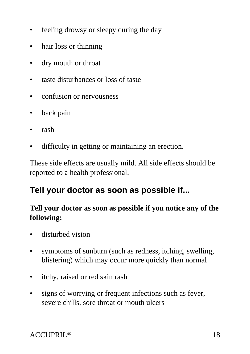- feeling drowsy or sleepy during the day
- hair loss or thinning
- dry mouth or throat
- taste disturbances or loss of taste
- confusion or nervousness
- back pain
- rash
- difficulty in getting or maintaining an erection.

These side effects are usually mild. All side effects should be reported to a health professional.

# **Tell your doctor as soon as possible if...**

#### **Tell your doctor as soon as possible if you notice any of the following:**

- disturbed vision
- symptoms of sunburn (such as redness, itching, swelling, blistering) which may occur more quickly than normal
- itchy, raised or red skin rash
- signs of worrying or frequent infections such as fever, severe chills, sore throat or mouth ulcers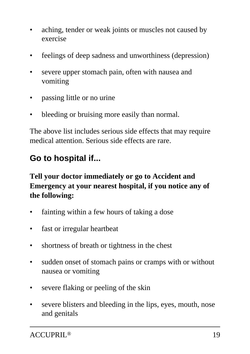- aching, tender or weak joints or muscles not caused by exercise
- feelings of deep sadness and unworthiness (depression)
- severe upper stomach pain, often with nausea and vomiting
- passing little or no urine
- bleeding or bruising more easily than normal.

The above list includes serious side effects that may require medical attention. Serious side effects are rare.

### **Go to hospital if...**

**Tell your doctor immediately or go to Accident and Emergency at your nearest hospital, if you notice any of the following:**

- fainting within a few hours of taking a dose
- fast or irregular heartbeat
- shortness of breath or tightness in the chest
- sudden onset of stomach pains or cramps with or without nausea or vomiting
- severe flaking or peeling of the skin
- severe blisters and bleeding in the lips, eyes, mouth, nose and genitals

ACCUPRIL® 19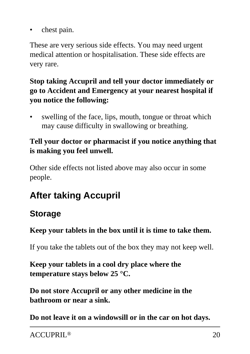chest pain.

These are very serious side effects. You may need urgent medical attention or hospitalisation. These side effects are very rare.

#### **Stop taking Accupril and tell your doctor immediately or go to Accident and Emergency at your nearest hospital if you notice the following:**

• swelling of the face, lips, mouth, tongue or throat which may cause difficulty in swallowing or breathing.

### **Tell your doctor or pharmacist if you notice anything that is making you feel unwell.**

Other side effects not listed above may also occur in some people.

# **After taking Accupril**

# **Storage**

#### **Keep your tablets in the box until it is time to take them.**

If you take the tablets out of the box they may not keep well.

#### **Keep your tablets in a cool dry place where the temperature stays below 25 °C.**

**Do not store Accupril or any other medicine in the bathroom or near a sink.**

**Do not leave it on a windowsill or in the car on hot days.**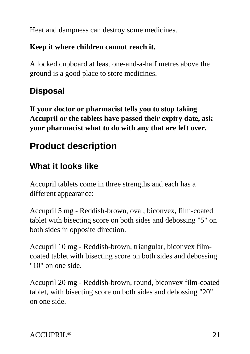Heat and dampness can destroy some medicines.

#### **Keep it where children cannot reach it.**

A locked cupboard at least one-and-a-half metres above the ground is a good place to store medicines.

# **Disposal**

**If your doctor or pharmacist tells you to stop taking Accupril or the tablets have passed their expiry date, ask your pharmacist what to do with any that are left over.**

# **Product description**

# **What it looks like**

Accupril tablets come in three strengths and each has a different appearance:

Accupril 5 mg - Reddish-brown, oval, biconvex, film-coated tablet with bisecting score on both sides and debossing "5" on both sides in opposite direction.

Accupril 10 mg - Reddish-brown, triangular, biconvex filmcoated tablet with bisecting score on both sides and debossing "10" on one side.

Accupril 20 mg - Reddish-brown, round, biconvex film-coated tablet, with bisecting score on both sides and debossing "20" on one side.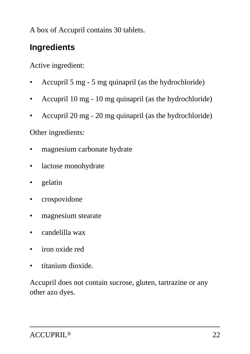A box of Accupril contains 30 tablets.

### **Ingredients**

Active ingredient:

- Accupril 5 mg 5 mg quinapril (as the hydrochloride)
- Accupril 10 mg 10 mg quinapril (as the hydrochloride)
- Accupril 20 mg 20 mg quinapril (as the hydrochloride)

#### Other ingredients:

- magnesium carbonate hydrate
- lactose monohydrate
- gelatin
- crospovidone
- magnesium stearate
- candelilla wax
- iron oxide red
- titanium dioxide.

Accupril does not contain sucrose, gluten, tartrazine or any other azo dyes.